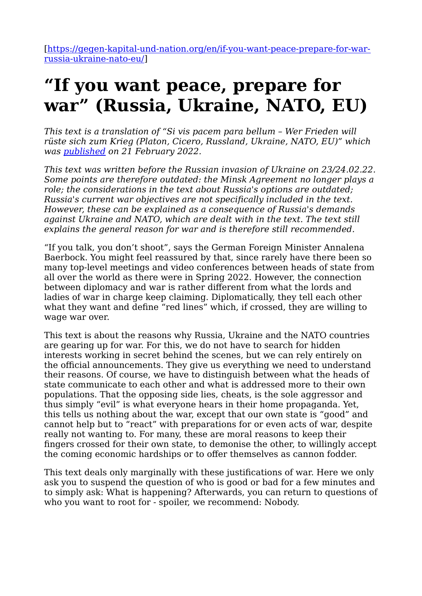[[https://gegen-kapital-und-nation.org/en/if-you-want-peace-prepare-for-war](https://gegen-kapital-und-nation.org/en/if-you-want-peace-prepare-for-war-russia-ukraine-nato-eu/)[russia-ukraine-nato-eu/](https://gegen-kapital-und-nation.org/en/if-you-want-peace-prepare-for-war-russia-ukraine-nato-eu/)]

# **"If you want peace, prepare for war" (Russia, Ukraine, NATO, EU)**

*This text is a translation of "Si vis pacem para bellum – Wer Frieden will rüste sich zum Krieg (Platon, Cicero, Russland, Ukraine, NATO, EU)" which was [published](https://gegen-kapital-und-nation.org/si-vis-pacem-para-bellum-wer-frieden-will-ruste-sich-zum-krieg-platon-cicero-russland-ukraine-nato-eu/) on 21 February 2022.* 

*This text was written before the Russian invasion of Ukraine on 23/24.02.22. Some points are therefore outdated: the Minsk Agreement no longer plays a role; the considerations in the text about Russia's options are outdated; Russia's current war objectives are not specifically included in the text. However, these can be explained as a consequence of Russia's demands against Ukraine and NATO, which are dealt with in the text. The text still explains the general reason for war and is therefore still recommended.*

"If you talk, you don't shoot", says the German Foreign Minister Annalena Baerbock. You might feel reassured by that, since rarely have there been so many top-level meetings and video conferences between heads of state from all over the world as there were in Spring 2022. However, the connection between diplomacy and war is rather different from what the lords and ladies of war in charge keep claiming. Diplomatically, they tell each other what they want and define "red lines" which, if crossed, they are willing to wage war over.

This text is about the reasons why Russia, Ukraine and the NATO countries are gearing up for war. For this, we do not have to search for hidden interests working in secret behind the scenes, but we can rely entirely on the official announcements. They give us everything we need to understand their reasons. Of course, we have to distinguish between what the heads of state communicate to each other and what is addressed more to their own populations. That the opposing side lies, cheats, is the sole aggressor and thus simply "evil" is what everyone hears in their home propaganda. Yet, this tells us nothing about the war, except that our own state is "good" and cannot help but to "react" with preparations for or even acts of war, despite really not wanting to. For many, these are moral reasons to keep their fingers crossed for their own state, to demonise the other, to willingly accept the coming economic hardships or to offer themselves as cannon fodder.

This text deals only marginally with these justifications of war. Here we only ask you to suspend the question of who is good or bad for a few minutes and to simply ask: What is happening? Afterwards, you can return to questions of who you want to root for - spoiler, we recommend: Nobody.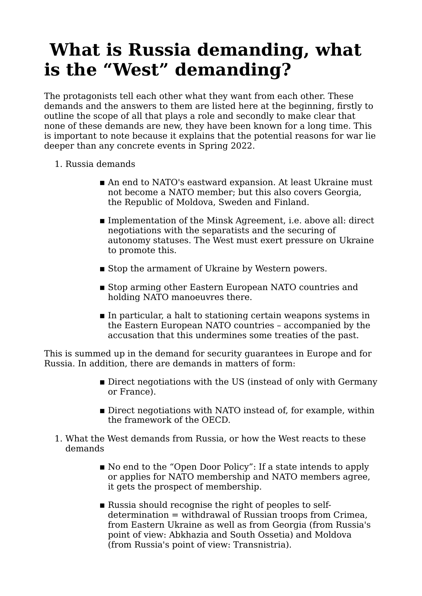# **What is Russia demanding, what is the "West" demanding?**

The protagonists tell each other what they want from each other. These demands and the answers to them are listed here at the beginning, firstly to outline the scope of all that plays a role and secondly to make clear that none of these demands are new, they have been known for a long time. This is important to note because it explains that the potential reasons for war lie deeper than any concrete events in Spring 2022.

- 1. Russia demands
	- An end to NATO's eastward expansion. At least Ukraine must not become a NATO member; but this also covers Georgia, the Republic of Moldova, Sweden and Finland.
	- Implementation of the Minsk Agreement, i.e. above all: direct negotiations with the separatists and the securing of autonomy statuses. The West must exert pressure on Ukraine to promote this.
	- Stop the armament of Ukraine by Western powers.
	- Stop arming other Eastern European NATO countries and holding NATO manoeuvres there.
	- In particular, a halt to stationing certain weapons systems in the Eastern European NATO countries – accompanied by the accusation that this undermines some treaties of the past.

This is summed up in the demand for security guarantees in Europe and for Russia. In addition, there are demands in matters of form:

- Direct negotiations with the US (instead of only with Germany or France).
- Direct negotiations with NATO instead of, for example, within the framework of the OECD.
- What the West demands from Russia, or how the West reacts to these 1. demands
	- No end to the "Open Door Policy": If a state intends to apply or applies for NATO membership and NATO members agree, it gets the prospect of membership.
	- Russia should recognise the right of peoples to selfdetermination = withdrawal of Russian troops from Crimea, from Eastern Ukraine as well as from Georgia (from Russia's point of view: Abkhazia and South Ossetia) and Moldova (from Russia's point of view: Transnistria).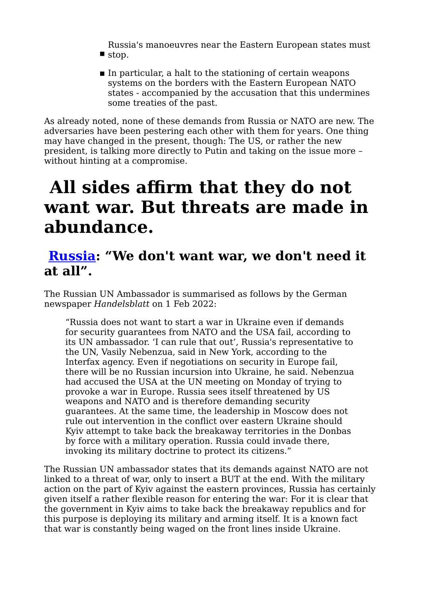Russia's manoeuvres near the Eastern European states must ■ stop.

■ In particular, a halt to the stationing of certain weapons systems on the borders with the Eastern European NATO states - accompanied by the accusation that this undermines some treaties of the past.

As already noted, none of these demands from Russia or NATO are new. The adversaries have been pestering each other with them for years. One thing may have changed in the present, though: The US, or rather the new president, is talking more directly to Putin and taking on the issue more – without hinting at a compromise.

# **All sides affirm that they do not want war. But threats are made in abundance.**

#### **[Russia:](https://www.dw.com/en/nato-uk-will-support-ukraine-if-invaded-by-russia-but-wont-send-troops/a-60602536) "We don't want war, we don't need it at all".**

The Russian UN Ambassador is summarised as follows by the German newspaper *Handelsblatt* on 1 Feb 2022:

"Russia does not want to start a war in Ukraine even if demands for security guarantees from NATO and the USA fail, according to its UN ambassador. 'I can rule that out', Russia's representative to the UN, Vasily Nebenzua, said in New York, according to the Interfax agency. Even if negotiations on security in Europe fail, there will be no Russian incursion into Ukraine, he said. Nebenzua had accused the USA at the UN meeting on Monday of trying to provoke a war in Europe. Russia sees itself threatened by US weapons and NATO and is therefore demanding security guarantees. At the same time, the leadership in Moscow does not rule out intervention in the conflict over eastern Ukraine should Kyiv attempt to take back the breakaway territories in the Donbas by force with a military operation. Russia could invade there, invoking its military doctrine to protect its citizens."

The Russian UN ambassador states that its demands against NATO are not linked to a threat of war, only to insert a BUT at the end. With the military action on the part of Kyiv against the eastern provinces, Russia has certainly given itself a rather flexible reason for entering the war: For it is clear that the government in Kyiv aims to take back the breakaway republics and for this purpose is deploying its military and arming itself. It is a known fact that war is constantly being waged on the front lines inside Ukraine.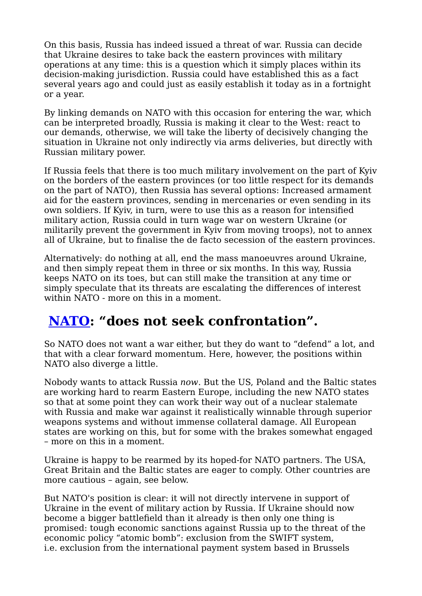On this basis, Russia has indeed issued a threat of war. Russia can decide that Ukraine desires to take back the eastern provinces with military operations at any time: this is a question which it simply places within its decision-making jurisdiction. Russia could have established this as a fact several years ago and could just as easily establish it today as in a fortnight or a year.

By linking demands on NATO with this occasion for entering the war, which can be interpreted broadly, Russia is making it clear to the West: react to our demands, otherwise, we will take the liberty of decisively changing the situation in Ukraine not only indirectly via arms deliveries, but directly with Russian military power.

If Russia feels that there is too much military involvement on the part of Kyiv on the borders of the eastern provinces (or too little respect for its demands on the part of NATO), then Russia has several options: Increased armament aid for the eastern provinces, sending in mercenaries or even sending in its own soldiers. If Kyiv, in turn, were to use this as a reason for intensified military action, Russia could in turn wage war on western Ukraine (or militarily prevent the government in Kyiv from moving troops), not to annex all of Ukraine, but to finalise the de facto secession of the eastern provinces.

Alternatively: do nothing at all, end the mass manoeuvres around Ukraine, and then simply repeat them in three or six months. In this way, Russia keeps NATO on its toes, but can still make the transition at any time or simply speculate that its threats are escalating the differences of interest within NATO - more on this in a moment.

#### **[NATO:](https://elpais.com/infografias/2022/02/respuesta_otan/respuesta_otan_eeuu.pdf) "does not seek confrontation".**

So NATO does not want a war either, but they do want to "defend" a lot, and that with a clear forward momentum. Here, however, the positions within NATO also diverge a little.

Nobody wants to attack Russia *now*. But the US, Poland and the Baltic states are working hard to rearm Eastern Europe, including the new NATO states so that at some point they can work their way out of a nuclear stalemate with Russia and make war against it realistically winnable through superior weapons systems and without immense collateral damage. All European states are working on this, but for some with the brakes somewhat engaged – more on this in a moment.

Ukraine is happy to be rearmed by its hoped-for NATO partners. The USA, Great Britain and the Baltic states are eager to comply. Other countries are more cautious – again, see below.

But NATO's position is clear: it will not directly intervene in support of Ukraine in the event of military action by Russia. If Ukraine should now become a bigger battlefield than it already is then only one thing is promised: tough economic sanctions against Russia up to the threat of the economic policy "atomic bomb": exclusion from the SWIFT system, i.e. exclusion from the international payment system based in Brussels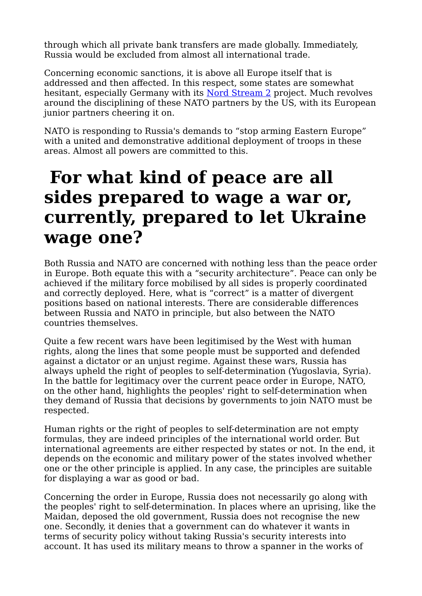through which all private bank transfers are made globally. Immediately, Russia would be excluded from almost all international trade.

Concerning economic sanctions, it is above all Europe itself that is addressed and then affected. In this respect, some states are somewhat hesitant, especially Germany with its [Nord Stream 2](https://en.wikipedia.org/wiki/Nord_Stream#Nord_Stream_2) project. Much revolves around the disciplining of these NATO partners by the US, with its European junior partners cheering it on.

NATO is responding to Russia's demands to "stop arming Eastern Europe" with a united and demonstrative additional deployment of troops in these areas. Almost all powers are committed to this.

# **For what kind of peace are all sides prepared to wage a war or, currently, prepared to let Ukraine wage one?**

Both Russia and NATO are concerned with nothing less than the peace order in Europe. Both equate this with a "security architecture". Peace can only be achieved if the military force mobilised by all sides is properly coordinated and correctly deployed. Here, what is "correct" is a matter of divergent positions based on national interests. There are considerable differences between Russia and NATO in principle, but also between the NATO countries themselves.

Quite a few recent wars have been legitimised by the West with human rights, along the lines that some people must be supported and defended against a dictator or an unjust regime. Against these wars, Russia has always upheld the right of peoples to self-determination (Yugoslavia, Syria). In the battle for legitimacy over the current peace order in Europe, NATO, on the other hand, highlights the peoples' right to self-determination when they demand of Russia that decisions by governments to join NATO must be respected.

Human rights or the right of peoples to self-determination are not empty formulas, they are indeed principles of the international world order. But international agreements are either respected by states or not. In the end, it depends on the economic and military power of the states involved whether one or the other principle is applied. In any case, the principles are suitable for displaying a war as good or bad.

Concerning the order in Europe, Russia does not necessarily go along with the peoples' right to self-determination. In places where an uprising, like the Maidan, deposed the old government, Russia does not recognise the new one. Secondly, it denies that a government can do whatever it wants in terms of security policy without taking Russia's security interests into account. It has used its military means to throw a spanner in the works of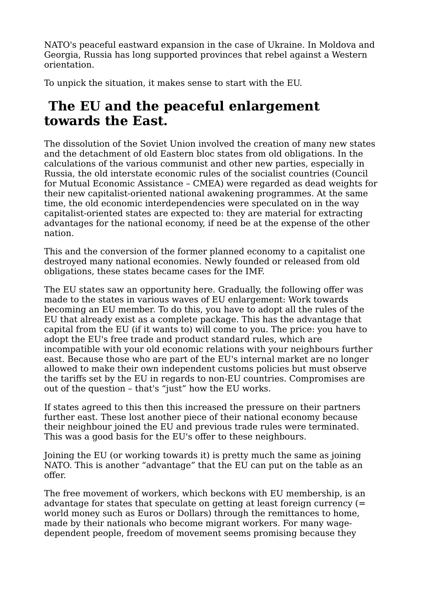NATO's peaceful eastward expansion in the case of Ukraine. In Moldova and Georgia, Russia has long supported provinces that rebel against a Western orientation.

To unpick the situation, it makes sense to start with the EU.

#### **The EU and the peaceful enlargement towards the East.**

The dissolution of the Soviet Union involved the creation of many new states and the detachment of old Eastern bloc states from old obligations. In the calculations of the various communist and other new parties, especially in Russia, the old interstate economic rules of the socialist countries (Council for Mutual Economic Assistance – CMEA) were regarded as dead weights for their new capitalist-oriented national awakening programmes. At the same time, the old economic interdependencies were speculated on in the way capitalist-oriented states are expected to: they are material for extracting advantages for the national economy, if need be at the expense of the other nation.

This and the conversion of the former planned economy to a capitalist one destroyed many national economies. Newly founded or released from old obligations, these states became cases for the IMF.

The EU states saw an opportunity here. Gradually, the following offer was made to the states in various waves of EU enlargement: Work towards becoming an EU member. To do this, you have to adopt all the rules of the EU that already exist as a complete package. This has the advantage that capital from the EU (if it wants to) will come to you. The price: you have to adopt the EU's free trade and product standard rules, which are incompatible with your old economic relations with your neighbours further east. Because those who are part of the EU's internal market are no longer allowed to make their own independent customs policies but must observe the tariffs set by the EU in regards to non-EU countries. Compromises are out of the question – that's "just" how the EU works.

If states agreed to this then this increased the pressure on their partners further east. These lost another piece of their national economy because their neighbour joined the EU and previous trade rules were terminated. This was a good basis for the EU's offer to these neighbours.

Joining the EU (or working towards it) is pretty much the same as joining NATO. This is another "advantage" that the EU can put on the table as an offer.

The free movement of workers, which beckons with EU membership, is an advantage for states that speculate on getting at least foreign currency (= world money such as Euros or Dollars) through the remittances to home, made by their nationals who become migrant workers. For many wagedependent people, freedom of movement seems promising because they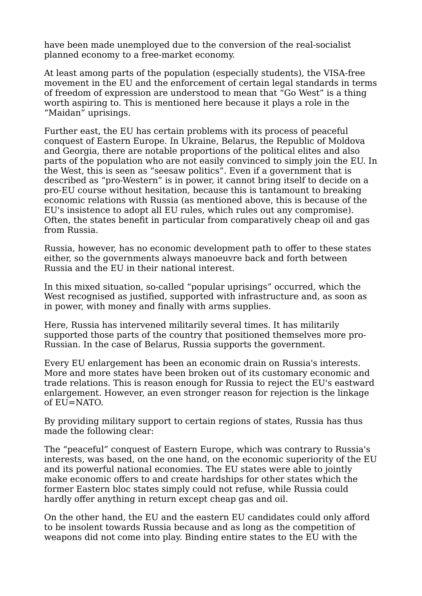have been made unemployed due to the conversion of the real-socialist planned economy to a free-market economy.

At least among parts of the population (especially students), the VISA-free movement in the EU and the enforcement of certain legal standards in terms of freedom of expression are understood to mean that "Go West" is a thing worth aspiring to. This is mentioned here because it plays a role in the "Maidan" uprisings.

Further east, the EU has certain problems with its process of peaceful conquest of Eastern Europe. In Ukraine, Belarus, the Republic of Moldova and Georgia, there are notable proportions of the political elites and also parts of the population who are not easily convinced to simply join the EU. In the West, this is seen as "seesaw politics". Even if a government that is described as "pro-Western" is in power, it cannot bring itself to decide on a pro-EU course without hesitation, because this is tantamount to breaking economic relations with Russia (as mentioned above, this is because of the EU's insistence to adopt all EU rules, which rules out any compromise). Often, the states benefit in particular from comparatively cheap oil and gas from Russia.

Russia, however, has no economic development path to offer to these states either, so the governments always manoeuvre back and forth between Russia and the EU in their national interest.

In this mixed situation, so-called "popular uprisings" occurred, which the West recognised as justified, supported with infrastructure and, as soon as in power, with money and finally with arms supplies.

Here, Russia has intervened militarily several times. It has militarily supported those parts of the country that positioned themselves more pro-Russian. In the case of Belarus, Russia supports the government.

Every EU enlargement has been an economic drain on Russia's interests. More and more states have been broken out of its customary economic and trade relations. This is reason enough for Russia to reject the EU's eastward enlargement. However, an even stronger reason for rejection is the linkage of EU=NATO.

By providing military support to certain regions of states, Russia has thus made the following clear:

The "peaceful" conquest of Eastern Europe, which was contrary to Russia's interests, was based, on the one hand, on the economic superiority of the EU and its powerful national economies. The EU states were able to jointly make economic offers to and create hardships for other states which the former Eastern bloc states simply could not refuse, while Russia could hardly offer anything in return except cheap gas and oil.

On the other hand, the EU and the eastern EU candidates could only afford to be insolent towards Russia because and as long as the competition of weapons did not come into play. Binding entire states to the EU with the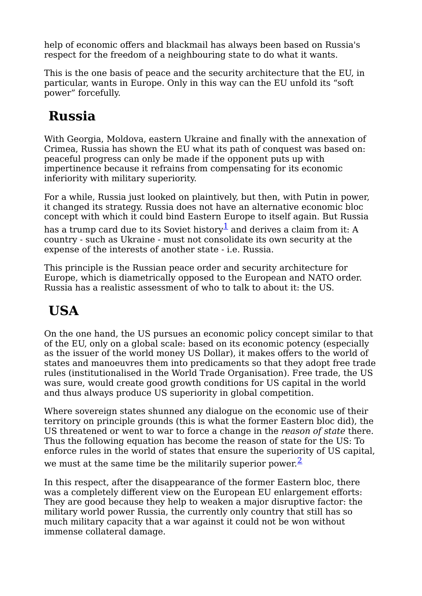help of economic offers and blackmail has always been based on Russia's respect for the freedom of a neighbouring state to do what it wants.

This is the one basis of peace and the security architecture that the EU, in particular, wants in Europe. Only in this way can the EU unfold its "soft power" forcefully.

### **Russia**

With Georgia, Moldova, eastern Ukraine and finally with the annexation of Crimea, Russia has shown the EU what its path of conquest was based on: peaceful progress can only be made if the opponent puts up with impertinence because it refrains from compensating for its economic inferiority with military superiority.

<span id="page-7-0"></span>For a while, Russia just looked on plaintively, but then, with Putin in power, it changed its strategy. Russia does not have an alternative economic bloc concept with which it could bind Eastern Europe to itself again. But Russia has a trump card due to its Soviet history<sup>[1](#page-10-0)</sup> and derives a claim from it: A country - such as Ukraine - must not consolidate its own security at the expense of the interests of another state - i.e. Russia.

This principle is the Russian peace order and security architecture for Europe, which is diametrically opposed to the European and NATO order. Russia has a realistic assessment of who to talk to about it: the US.

### **USA**

On the one hand, the US pursues an economic policy concept similar to that of the EU, only on a global scale: based on its economic potency (especially as the issuer of the world money US Dollar), it makes offers to the world of states and manoeuvres them into predicaments so that they adopt free trade rules (institutionalised in the World Trade Organisation). Free trade, the US was sure, would create good growth conditions for US capital in the world and thus always produce US superiority in global competition.

Where sovereign states shunned any dialogue on the economic use of their territory on principle grounds (this is what the former Eastern bloc did), the US threatened or went to war to force a change in the *reason of state* there. Thus the following equation has become the reason of state for the US: To enforce rules in the world of states that ensure the superiority of US capital, we must at the same time be the militarily superior power. $\frac{2}{3}$  $\frac{2}{3}$  $\frac{2}{3}$ 

<span id="page-7-1"></span>In this respect, after the disappearance of the former Eastern bloc, there was a completely different view on the European EU enlargement efforts: They are good because they help to weaken a major disruptive factor: the military world power Russia, the currently only country that still has so much military capacity that a war against it could not be won without immense collateral damage.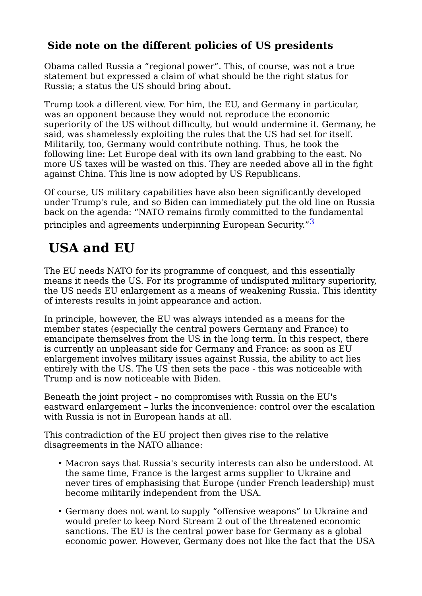#### **Side note on the different policies of US presidents**

Obama called Russia a "regional power". This, of course, was not a true statement but expressed a claim of what should be the right status for Russia; a status the US should bring about.

Trump took a different view. For him, the EU, and Germany in particular, was an opponent because they would not reproduce the economic superiority of the US without difficulty, but would undermine it. Germany, he said, was shamelessly exploiting the rules that the US had set for itself. Militarily, too, Germany would contribute nothing. Thus, he took the following line: Let Europe deal with its own land grabbing to the east. No more US taxes will be wasted on this. They are needed above all in the fight against China. This line is now adopted by US Republicans.

Of course, US military capabilities have also been significantly developed under Trump's rule, and so Biden can immediately put the old line on Russia back on the agenda: "NATO remains firmly committed to the fundamental principles and agreements underpinning European Security."<sup>[3](#page-10-2)</sup>

### <span id="page-8-0"></span> **USA and EU**

The EU needs NATO for its programme of conquest, and this essentially means it needs the US. For its programme of undisputed military superiority, the US needs EU enlargement as a means of weakening Russia. This identity of interests results in joint appearance and action.

In principle, however, the EU was always intended as a means for the member states (especially the central powers Germany and France) to emancipate themselves from the US in the long term. In this respect, there is currently an unpleasant side for Germany and France: as soon as EU enlargement involves military issues against Russia, the ability to act lies entirely with the US. The US then sets the pace - this was noticeable with Trump and is now noticeable with Biden.

Beneath the joint project – no compromises with Russia on the EU's eastward enlargement – lurks the inconvenience: control over the escalation with Russia is not in European hands at all.

This contradiction of the EU project then gives rise to the relative disagreements in the NATO alliance:

- Macron says that Russia's security interests can also be understood. At the same time, France is the largest arms supplier to Ukraine and never tires of emphasising that Europe (under French leadership) must become militarily independent from the USA.
- Germany does not want to supply "offensive weapons" to Ukraine and would prefer to keep Nord Stream 2 out of the threatened economic sanctions. The EU is the central power base for Germany as a global economic power. However, Germany does not like the fact that the USA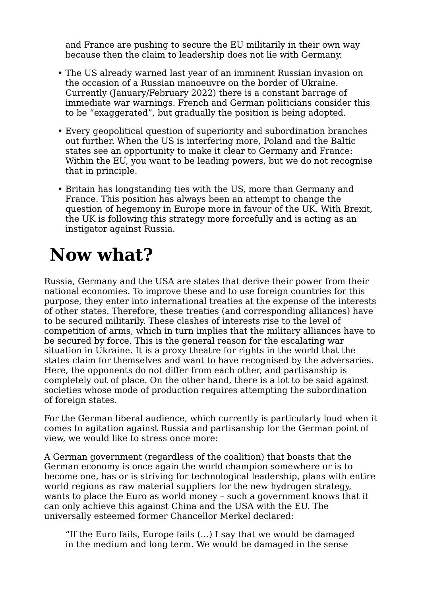and France are pushing to secure the EU militarily in their own way because then the claim to leadership does not lie with Germany.

- The US already warned last year of an imminent Russian invasion on the occasion of a Russian manoeuvre on the border of Ukraine. Currently (January/February 2022) there is a constant barrage of immediate war warnings. French and German politicians consider this to be "exaggerated", but gradually the position is being adopted.
- Every geopolitical question of superiority and subordination branches out further. When the US is interfering more, Poland and the Baltic states see an opportunity to make it clear to Germany and France: Within the EU, you want to be leading powers, but we do not recognise that in principle.
- Britain has longstanding ties with the US, more than Germany and France. This position has always been an attempt to change the question of hegemony in Europe more in favour of the UK. With Brexit, the UK is following this strategy more forcefully and is acting as an instigator against Russia.

### **Now what?**

Russia, Germany and the USA are states that derive their power from their national economies. To improve these and to use foreign countries for this purpose, they enter into international treaties at the expense of the interests of other states. Therefore, these treaties (and corresponding alliances) have to be secured militarily. These clashes of interests rise to the level of competition of arms, which in turn implies that the military alliances have to be secured by force. This is the general reason for the escalating war situation in Ukraine. It is a proxy theatre for rights in the world that the states claim for themselves and want to have recognised by the adversaries. Here, the opponents do not differ from each other, and partisanship is completely out of place. On the other hand, there is a lot to be said against societies whose mode of production requires attempting the subordination of foreign states.

For the German liberal audience, which currently is particularly loud when it comes to agitation against Russia and partisanship for the German point of view, we would like to stress once more:

A German government (regardless of the coalition) that boasts that the German economy is once again the world champion somewhere or is to become one, has or is striving for technological leadership, plans with entire world regions as raw material suppliers for the new hydrogen strategy, wants to place the Euro as world money – such a government knows that it can only achieve this against China and the USA with the EU. The universally esteemed former Chancellor Merkel declared:

"If the Euro fails, Europe fails (…) I say that we would be damaged in the medium and long term. We would be damaged in the sense